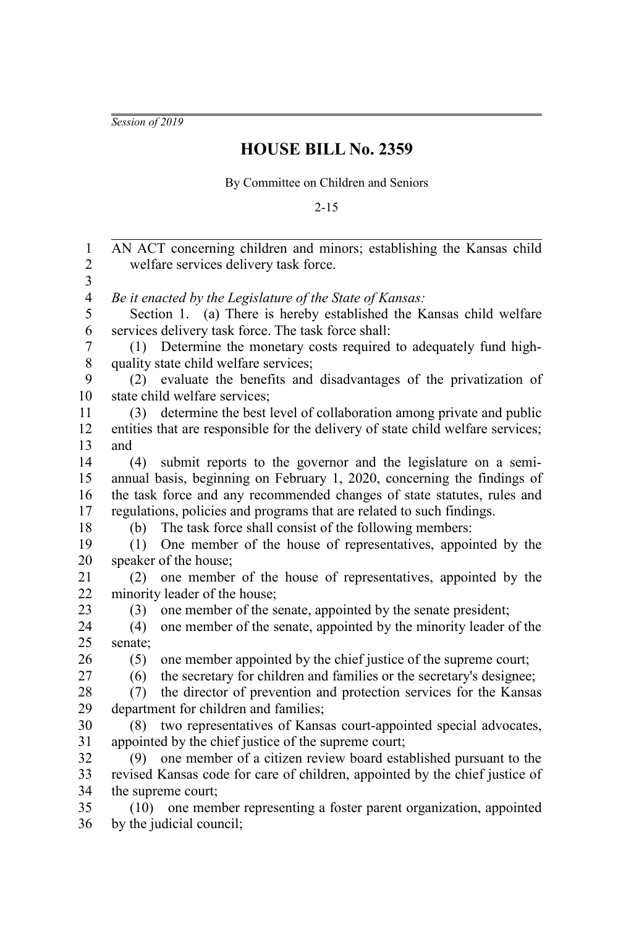*Session of 2019*

## **HOUSE BILL No. 2359**

By Committee on Children and Seniors

2-15

| 1              | AN ACT concerning children and minors; establishing the Kansas child            |
|----------------|---------------------------------------------------------------------------------|
| $\mathfrak{2}$ | welfare services delivery task force.                                           |
| 3              |                                                                                 |
| $\overline{4}$ | Be it enacted by the Legislature of the State of Kansas:                        |
| 5              | Section 1. (a) There is hereby established the Kansas child welfare             |
| 6              | services delivery task force. The task force shall:                             |
| 7              | (1) Determine the monetary costs required to adequately fund high-              |
| 8              | quality state child welfare services;                                           |
| 9              | evaluate the benefits and disadvantages of the privatization of<br>(2)          |
| 10             | state child welfare services;                                                   |
| 11             | determine the best level of collaboration among private and public<br>(3)       |
| 12             | entities that are responsible for the delivery of state child welfare services; |
| 13             | and                                                                             |
| 14             | submit reports to the governor and the legislature on a semi-<br>(4)            |
| 15             | annual basis, beginning on February 1, 2020, concerning the findings of         |
| 16             | the task force and any recommended changes of state statutes, rules and         |
| 17             | regulations, policies and programs that are related to such findings.           |
| 18             | The task force shall consist of the following members:<br>(b)                   |
| 19             | One member of the house of representatives, appointed by the<br>(1)             |
| 20             | speaker of the house;                                                           |
| 21             | one member of the house of representatives, appointed by the<br>(2)             |
| 22             | minority leader of the house;                                                   |
| 23             | one member of the senate, appointed by the senate president;<br>(3)             |
| 24             | one member of the senate, appointed by the minority leader of the<br>(4)        |
| 25             | senate;                                                                         |
| 26             | one member appointed by the chief justice of the supreme court;<br>(5)          |
| 27             | the secretary for children and families or the secretary's designee;<br>(6)     |
| 28             | the director of prevention and protection services for the Kansas<br>(7)        |
| 29             | department for children and families;                                           |
| 30             | two representatives of Kansas court-appointed special advocates,<br>(8)         |
| 31             | appointed by the chief justice of the supreme court;                            |
| 32             | one member of a citizen review board established pursuant to the<br>(9)         |
| 33             | revised Kansas code for care of children, appointed by the chief justice of     |
| 34             | the supreme court;                                                              |
| 35             | one member representing a foster parent organization, appointed<br>(10)         |
| 36             | by the judicial council;                                                        |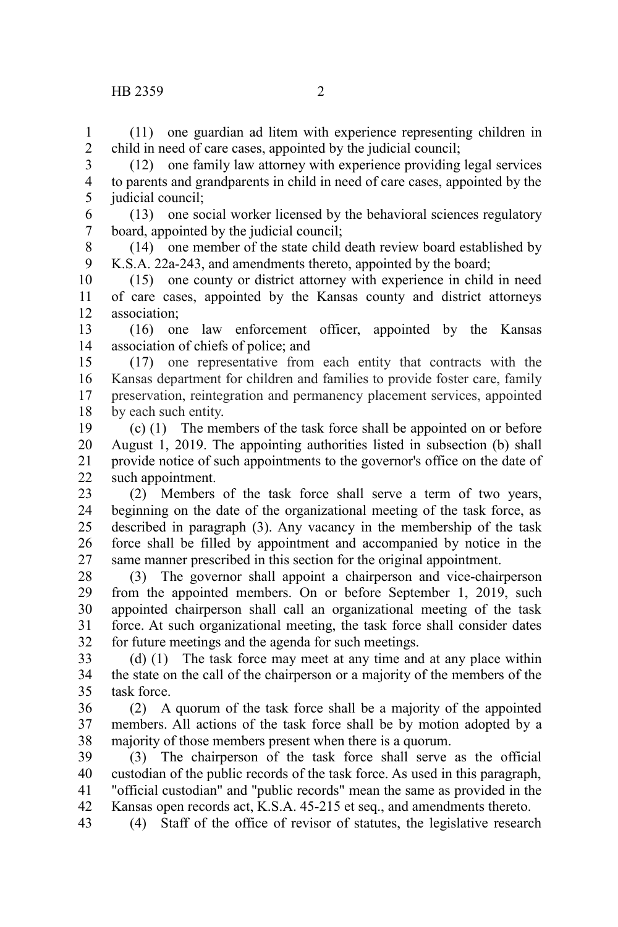(11) one guardian ad litem with experience representing children in child in need of care cases, appointed by the judicial council; 1 2

(12) one family law attorney with experience providing legal services to parents and grandparents in child in need of care cases, appointed by the judicial council; 3 4 5

(13) one social worker licensed by the behavioral sciences regulatory board, appointed by the judicial council; 6 7

(14) one member of the state child death review board established by K.S.A. 22a-243, and amendments thereto, appointed by the board; 8 9

(15) one county or district attorney with experience in child in need of care cases, appointed by the Kansas county and district attorneys association; 10 11 12

(16) one law enforcement officer, appointed by the Kansas association of chiefs of police; and 13 14

(17) one representative from each entity that contracts with the Kansas department for children and families to provide foster care, family preservation, reintegration and permanency placement services, appointed by each such entity. 15 16 17 18

(c) (1) The members of the task force shall be appointed on or before August 1, 2019. The appointing authorities listed in subsection (b) shall provide notice of such appointments to the governor's office on the date of such appointment. 19 20 21 22

(2) Members of the task force shall serve a term of two years, beginning on the date of the organizational meeting of the task force, as described in paragraph (3). Any vacancy in the membership of the task force shall be filled by appointment and accompanied by notice in the same manner prescribed in this section for the original appointment. 23 24 25 26 27

(3) The governor shall appoint a chairperson and vice-chairperson from the appointed members. On or before September 1, 2019, such appointed chairperson shall call an organizational meeting of the task force. At such organizational meeting, the task force shall consider dates for future meetings and the agenda for such meetings. 28 29 30 31 32

(d) (1) The task force may meet at any time and at any place within the state on the call of the chairperson or a majority of the members of the task force. 33 34 35

(2) A quorum of the task force shall be a majority of the appointed members. All actions of the task force shall be by motion adopted by a majority of those members present when there is a quorum. 36 37 38

(3) The chairperson of the task force shall serve as the official custodian of the public records of the task force. As used in this paragraph, "official custodian" and "public records" mean the same as provided in the Kansas open records act, K.S.A. 45-215 et seq., and amendments thereto. 39 40 41 42

(4) Staff of the office of revisor of statutes, the legislative research 43